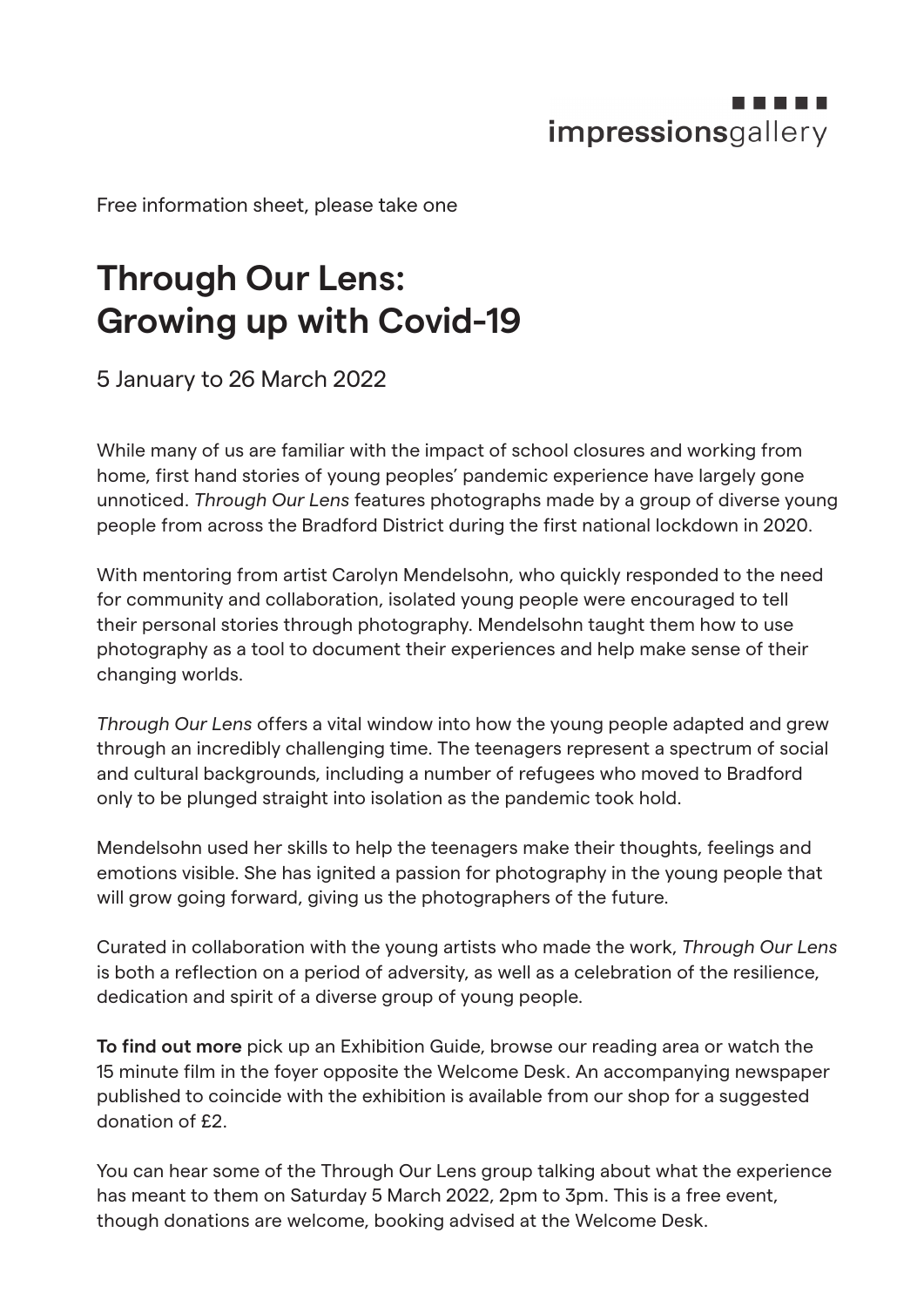## impressionsgallery

Free information sheet, please take one

## **Through Our Lens: Growing up with Covid-19**

5 January to 26 March 2022

While many of us are familiar with the impact of school closures and working from home, first hand stories of young peoples' pandemic experience have largely gone unnoticed. *Through Our Lens* features photographs made by a group of diverse young people from across the Bradford District during the first national lockdown in 2020.

With mentoring from artist Carolyn Mendelsohn, who quickly responded to the need for community and collaboration, isolated young people were encouraged to tell their personal stories through photography. Mendelsohn taught them how to use photography as a tool to document their experiences and help make sense of their changing worlds.

*Through Our Lens* offers a vital window into how the young people adapted and grew through an incredibly challenging time. The teenagers represent a spectrum of social and cultural backgrounds, including a number of refugees who moved to Bradford only to be plunged straight into isolation as the pandemic took hold.

Mendelsohn used her skills to help the teenagers make their thoughts, feelings and emotions visible. She has ignited a passion for photography in the young people that will grow going forward, giving us the photographers of the future.

Curated in collaboration with the young artists who made the work, *Through Our Lens* is both a reflection on a period of adversity, as well as a celebration of the resilience, dedication and spirit of a diverse group of young people.

**To find out more** pick up an Exhibition Guide, browse our reading area or watch the 15 minute film in the foyer opposite the Welcome Desk. An accompanying newspaper published to coincide with the exhibition is available from our shop for a suggested donation of £2.

You can hear some of the Through Our Lens group talking about what the experience has meant to them on Saturday 5 March 2022, 2pm to 3pm. This is a free event, though donations are welcome, booking advised at the Welcome Desk.